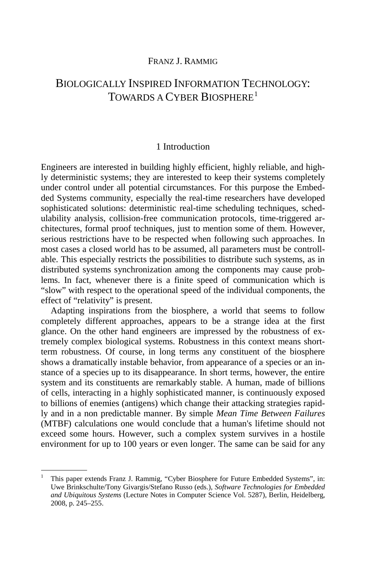### FRANZ J. RAMMIG

# BIOLOGICALLY INSPIRED INFORMATION TECHNOLOGY: TOWARDS A CYBER BIOSPHERE<sup>1</sup>

#### 1 Introduction

Engineers are interested in building highly efficient, highly reliable, and highly deterministic systems; they are interested to keep their systems completely under control under all potential circumstances. For this purpose the Embedded Systems community, especially the real-time researchers have developed sophisticated solutions: deterministic real-time scheduling techniques, schedulability analysis, collision-free communication protocols, time-triggered architectures, formal proof techniques, just to mention some of them. However, serious restrictions have to be respected when following such approaches. In most cases a closed world has to be assumed, all parameters must be controllable. This especially restricts the possibilities to distribute such systems, as in distributed systems synchronization among the components may cause problems. In fact, whenever there is a finite speed of communication which is "slow" with respect to the operational speed of the individual components, the effect of "relativity" is present.

Adapting inspirations from the biosphere, a world that seems to follow completely different approaches, appears to be a strange idea at the first glance. On the other hand engineers are impressed by the robustness of extremely complex biological systems. Robustness in this context means shortterm robustness. Of course, in long terms any constituent of the biosphere shows a dramatically instable behavior, from appearance of a species or an instance of a species up to its disappearance. In short terms, however, the entire system and its constituents are remarkably stable. A human, made of billions of cells, interacting in a highly sophisticated manner, is continuously exposed to billions of enemies (antigens) which change their attacking strategies rapidly and in a non predictable manner. By simple *Mean Time Between Failures* (MTBF) calculations one would conclude that a human's lifetime should not exceed some hours. However, such a complex system survives in a hostile environment for up to 100 years or even longer. The same can be said for any

-

<sup>1</sup> This paper extends Franz J. Rammig, "Cyber Biosphere for Future Embedded Systems", in: Uwe Brinkschulte/Tony Givargis/Stefano Russo (eds.), *Software Technologies for Embedded and Ubiquitous Systems* (Lecture Notes in Computer Science Vol. 5287), Berlin, Heidelberg, 2008, p. 245–255.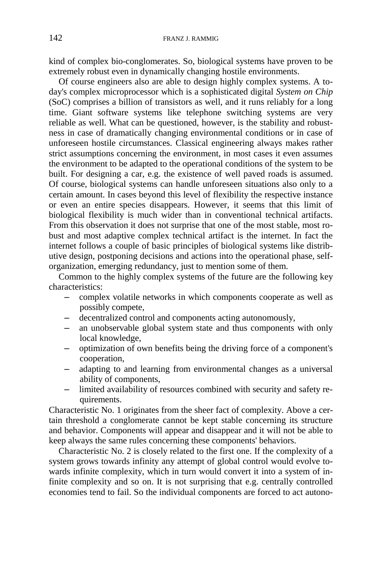kind of complex bio-conglomerates. So, biological systems have proven to be extremely robust even in dynamically changing hostile environments.

Of course engineers also are able to design highly complex systems. A today's complex microprocessor which is a sophisticated digital *System on Chip* (SoC) comprises a billion of transistors as well, and it runs reliably for a long time. Giant software systems like telephone switching systems are very reliable as well. What can be questioned, however, is the stability and robustness in case of dramatically changing environmental conditions or in case of unforeseen hostile circumstances. Classical engineering always makes rather strict assumptions concerning the environment, in most cases it even assumes the environment to be adapted to the operational conditions of the system to be built. For designing a car, e.g. the existence of well paved roads is assumed. Of course, biological systems can handle unforeseen situations also only to a certain amount. In cases beyond this level of flexibility the respective instance or even an entire species disappears. However, it seems that this limit of biological flexibility is much wider than in conventional technical artifacts. From this observation it does not surprise that one of the most stable, most robust and most adaptive complex technical artifact is the internet. In fact the internet follows a couple of basic principles of biological systems like distributive design, postponing decisions and actions into the operational phase, selforganization, emerging redundancy, just to mention some of them.

Common to the highly complex systems of the future are the following key characteristics:

- complex volatile networks in which components cooperate as well as possibly compete,
- decentralized control and components acting autonomously,
- an unobservable global system state and thus components with only local knowledge,
- optimization of own benefits being the driving force of a component's cooperation,
- adapting to and learning from environmental changes as a universal ability of components,
- limited availability of resources combined with security and safety requirements.

Characteristic No. 1 originates from the sheer fact of complexity. Above a certain threshold a conglomerate cannot be kept stable concerning its structure and behavior. Components will appear and disappear and it will not be able to keep always the same rules concerning these components' behaviors.

Characteristic No. 2 is closely related to the first one. If the complexity of a system grows towards infinity any attempt of global control would evolve towards infinite complexity, which in turn would convert it into a system of infinite complexity and so on. It is not surprising that e.g. centrally controlled economies tend to fail. So the individual components are forced to act autono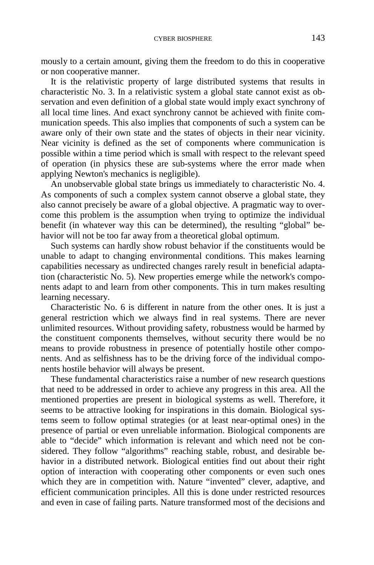mously to a certain amount, giving them the freedom to do this in cooperative or non cooperative manner.

It is the relativistic property of large distributed systems that results in characteristic No. 3. In a relativistic system a global state cannot exist as observation and even definition of a global state would imply exact synchrony of all local time lines. And exact synchrony cannot be achieved with finite communication speeds. This also implies that components of such a system can be aware only of their own state and the states of objects in their near vicinity. Near vicinity is defined as the set of components where communication is possible within a time period which is small with respect to the relevant speed of operation (in physics these are sub-systems where the error made when applying Newton's mechanics is negligible).

An unobservable global state brings us immediately to characteristic No. 4. As components of such a complex system cannot observe a global state, they also cannot precisely be aware of a global objective. A pragmatic way to overcome this problem is the assumption when trying to optimize the individual benefit (in whatever way this can be determined), the resulting "global" behavior will not be too far away from a theoretical global optimum.

Such systems can hardly show robust behavior if the constituents would be unable to adapt to changing environmental conditions. This makes learning capabilities necessary as undirected changes rarely result in beneficial adaptation (characteristic No. 5). New properties emerge while the network's components adapt to and learn from other components. This in turn makes resulting learning necessary.

Characteristic No. 6 is different in nature from the other ones. It is just a general restriction which we always find in real systems. There are never unlimited resources. Without providing safety, robustness would be harmed by the constituent components themselves, without security there would be no means to provide robustness in presence of potentially hostile other components. And as selfishness has to be the driving force of the individual components hostile behavior will always be present.

These fundamental characteristics raise a number of new research questions that need to be addressed in order to achieve any progress in this area. All the mentioned properties are present in biological systems as well. Therefore, it seems to be attractive looking for inspirations in this domain. Biological systems seem to follow optimal strategies (or at least near-optimal ones) in the presence of partial or even unreliable information. Biological components are able to "decide" which information is relevant and which need not be considered. They follow "algorithms" reaching stable, robust, and desirable behavior in a distributed network. Biological entities find out about their right option of interaction with cooperating other components or even such ones which they are in competition with. Nature "invented" clever, adaptive, and efficient communication principles. All this is done under restricted resources and even in case of failing parts. Nature transformed most of the decisions and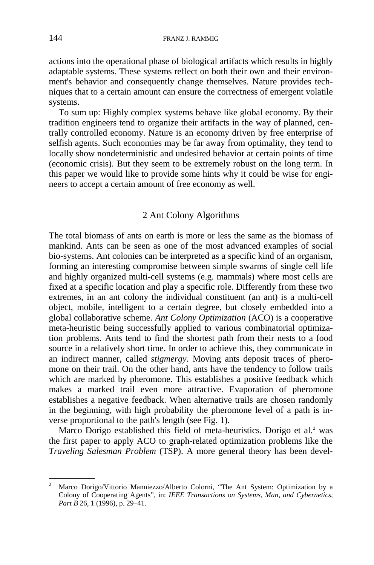actions into the operational phase of biological artifacts which results in highly adaptable systems. These systems reflect on both their own and their environment's behavior and consequently change themselves. Nature provides techniques that to a certain amount can ensure the correctness of emergent volatile systems.

To sum up: Highly complex systems behave like global economy. By their tradition engineers tend to organize their artifacts in the way of planned, centrally controlled economy. Nature is an economy driven by free enterprise of selfish agents. Such economies may be far away from optimality, they tend to locally show nondeterministic and undesired behavior at certain points of time (economic crisis). But they seem to be extremely robust on the long term. In this paper we would like to provide some hints why it could be wise for engineers to accept a certain amount of free economy as well.

### 2 Ant Colony Algorithms

The total biomass of ants on earth is more or less the same as the biomass of mankind. Ants can be seen as one of the most advanced examples of social bio-systems. Ant colonies can be interpreted as a specific kind of an organism, forming an interesting compromise between simple swarms of single cell life and highly organized multi-cell systems (e.g. mammals) where most cells are fixed at a specific location and play a specific role. Differently from these two extremes, in an ant colony the individual constituent (an ant) is a multi-cell object, mobile, intelligent to a certain degree, but closely embedded into a global collaborative scheme. *Ant Colony Optimization* (ACO) is a cooperative meta-heuristic being successfully applied to various combinatorial optimization problems. Ants tend to find the shortest path from their nests to a food source in a relatively short time. In order to achieve this, they communicate in an indirect manner, called *stigmergy*. Moving ants deposit traces of pheromone on their trail. On the other hand, ants have the tendency to follow trails which are marked by pheromone. This establishes a positive feedback which makes a marked trail even more attractive. Evaporation of pheromone establishes a negative feedback. When alternative trails are chosen randomly in the beginning, with high probability the pheromone level of a path is inverse proportional to the path's length (see Fig. 1).

Marco Dorigo established this field of meta-heuristics. Dorigo et al.<sup>2</sup> was the first paper to apply ACO to graph-related optimization problems like the *Traveling Salesman Problem* (TSP). A more general theory has been devel-

 $\frac{1}{2}$  Marco Dorigo/Vittorio Manniezzo/Alberto Colorni, "The Ant System: Optimization by a Colony of Cooperating Agents", in: *IEEE Transactions on Systems, Man, and Cybernetics, Part B* 26, 1 (1996), p. 29–41.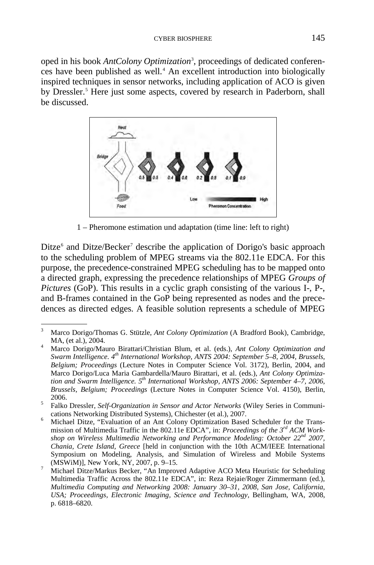oped in his book *AntColony Optimization*<sup>3</sup> , proceedings of dedicated conferences have been published as well.<sup>4</sup> An excellent introduction into biologically inspired techniques in sensor networks, including application of ACO is given by Dressler.<sup>5</sup> Here just some aspects, covered by research in Paderborn, shall be discussed.



1 – Pheromone estimation und adaptation (time line: left to right)

Ditze<sup>6</sup> and Ditze/Becker<sup>7</sup> describe the application of Dorigo's basic approach to the scheduling problem of MPEG streams via the 802.11e EDCA. For this purpose, the precedence-constrained MPEG scheduling has to be mapped onto a directed graph, expressing the precedence relationships of MPEG *Groups of Pictures* (GoP). This results in a cyclic graph consisting of the various I-, P-, and B-frames contained in the GoP being represented as nodes and the precedences as directed edges. A feasible solution represents a schedule of MPEG

<sup>-&</sup>lt;br>3 Marco Dorigo/Thomas G. Stützle, *Ant Colony Optimization* (A Bradford Book), Cambridge, MA, (et al.), 2004.

Marco Dorigo/Mauro Birattari/Christian Blum, et al. (eds.), *Ant Colony Optimization and Swarm Intelligence. 4th International Workshop, ANTS 2004: September 5–8, 2004, Brussels, Belgium; Proceedings* (Lecture Notes in Computer Science Vol. 3172), Berlin, 2004, and Marco Dorigo/Luca Maria Gambardella/Mauro Birattari, et al. (eds.), *Ant Colony Optimization and Swarm Intelligence. 5th International Workshop, ANTS 2006: September 4–7, 2006, Brussels, Belgium; Proceedings* (Lecture Notes in Computer Science Vol. 4150), Berlin,

<sup>2006.</sup> <sup>5</sup> Falko Dressler, *Self-Organization in Sensor and Actor Networks* (Wiley Series in Communications Networking Distributed Systems), Chichester (et al.), 2007.

<sup>6</sup> Michael Ditze, "Evaluation of an Ant Colony Optimization Based Scheduler for the Transmission of Multimedia Traffic in the 802.11e EDCA", in: *Proceedings of the 3<sup>rd</sup> ACM Workshop on Wireless Multimedia Networking and Performance Modeling: October 22nd 2007, Chania, Crete Island, Greece* [held in conjunction with the 10th ACM/IEEE International Symposium on Modeling, Analysis, and Simulation of Wireless and Mobile Systems (MSWiM)], New York, NY, 2007, p. 9–15. <sup>7</sup>

Michael Ditze/Markus Becker, "An Improved Adaptive ACO Meta Heuristic for Scheduling Multimedia Traffic Across the 802.11e EDCA", in: Reza Rejaie/Roger Zimmermann (ed.), *Multimedia Computing and Networking 2008: January 30–31, 2008, San Jose, California, USA; Proceedings, Electronic Imaging, Science and Technology*, Bellingham, WA, 2008, p. 6818–6820.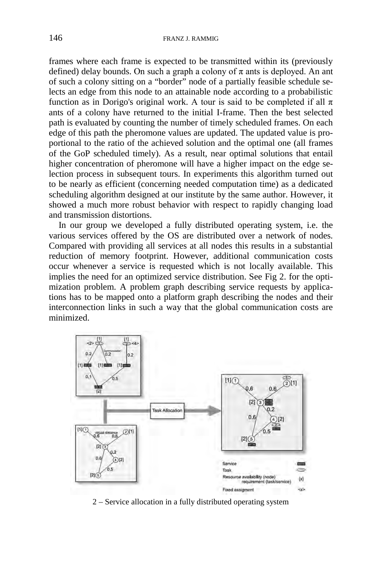frames where each frame is expected to be transmitted within its (previously defined) delay bounds. On such a graph a colony of  $\pi$  ants is deployed. An ant of such a colony sitting on a "border" node of a partially feasible schedule selects an edge from this node to an attainable node according to a probabilistic function as in Dorigo's original work. A tour is said to be completed if all  $\pi$ ants of a colony have returned to the initial I-frame. Then the best selected path is evaluated by counting the number of timely scheduled frames. On each edge of this path the pheromone values are updated. The updated value is proportional to the ratio of the achieved solution and the optimal one (all frames of the GoP scheduled timely). As a result, near optimal solutions that entail higher concentration of pheromone will have a higher impact on the edge selection process in subsequent tours. In experiments this algorithm turned out to be nearly as efficient (concerning needed computation time) as a dedicated scheduling algorithm designed at our institute by the same author. However, it showed a much more robust behavior with respect to rapidly changing load and transmission distortions.

In our group we developed a fully distributed operating system, i.e. the various services offered by the OS are distributed over a network of nodes. Compared with providing all services at all nodes this results in a substantial reduction of memory footprint. However, additional communication costs occur whenever a service is requested which is not locally available. This implies the need for an optimized service distribution. See Fig 2. for the optimization problem. A problem graph describing service requests by applications has to be mapped onto a platform graph describing the nodes and their interconnection links in such a way that the global communication costs are minimized.



2 – Service allocation in a fully distributed operating system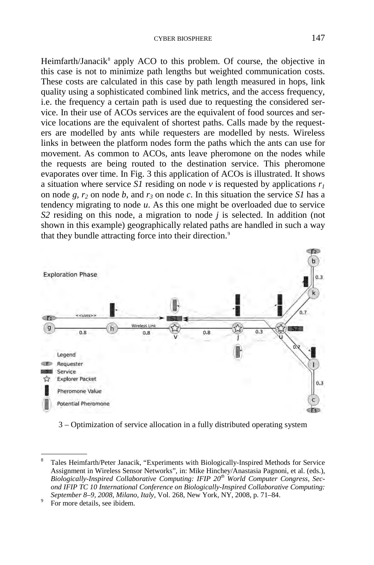Heimfarth/Janacik<sup>8</sup> apply ACO to this problem. Of course, the objective in this case is not to minimize path lengths but weighted communication costs. These costs are calculated in this case by path length measured in hops, link quality using a sophisticated combined link metrics, and the access frequency, i.e. the frequency a certain path is used due to requesting the considered service. In their use of ACOs services are the equivalent of food sources and service locations are the equivalent of shortest paths. Calls made by the requesters are modelled by ants while requesters are modelled by nests. Wireless links in between the platform nodes form the paths which the ants can use for movement. As common to ACOs, ants leave pheromone on the nodes while the requests are being routed to the destination service. This pheromone evaporates over time. In Fig. 3 this application of ACOs is illustrated. It shows a situation where service  $SI$  residing on node  $v$  is requested by applications  $r_1$ on node  $g$ ,  $r_2$  on node  $b$ , and  $r_3$  on node  $c$ . In this situation the service *S1* has a tendency migrating to node *u*. As this one might be overloaded due to service *S2* residing on this node, a migration to node *j* is selected. In addition (not shown in this example) geographically related paths are handled in such a way that they bundle attracting force into their direction.<sup>9</sup>



3 – Optimization of service allocation in a fully distributed operating system

<sup>-&</sup>lt;br>8 Tales Heimfarth/Peter Janacik, "Experiments with Biologically-Inspired Methods for Service Assignment in Wireless Sensor Networks", in: Mike Hinchey/Anastasia Pagnoni, et al. (eds.), *Biologically-Inspired Collaborative Computing: IFIP 20th World Computer Congress, Second IFIP TC 10 International Conference on Biologically-Inspired Collaborative Computing: September 8–9, 2008, Milano, Italy*, Vol. 268, New York, NY, 2008, p. 71–84. <sup>9</sup>

For more details, see ibidem.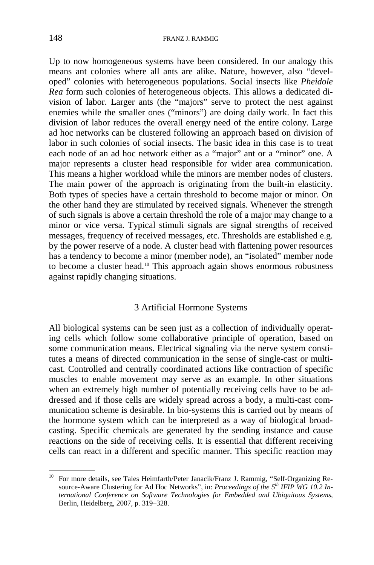Up to now homogeneous systems have been considered. In our analogy this means ant colonies where all ants are alike. Nature, however, also "developed" colonies with heterogeneous populations. Social insects like *Pheidole Rea* form such colonies of heterogeneous objects. This allows a dedicated division of labor. Larger ants (the "majors" serve to protect the nest against enemies while the smaller ones ("minors") are doing daily work. In fact this division of labor reduces the overall energy need of the entire colony. Large ad hoc networks can be clustered following an approach based on division of labor in such colonies of social insects. The basic idea in this case is to treat each node of an ad hoc network either as a "major" ant or a "minor" one. A major represents a cluster head responsible for wider area communication. This means a higher workload while the minors are member nodes of clusters. The main power of the approach is originating from the built-in elasticity. Both types of species have a certain threshold to become major or minor. On the other hand they are stimulated by received signals. Whenever the strength of such signals is above a certain threshold the role of a major may change to a minor or vice versa. Typical stimuli signals are signal strengths of received messages, frequency of received messages, etc. Thresholds are established e.g. by the power reserve of a node. A cluster head with flattening power resources has a tendency to become a minor (member node), an "isolated" member node to become a cluster head.<sup>10</sup> This approach again shows enormous robustness against rapidly changing situations.

### 3 Artificial Hormone Systems

All biological systems can be seen just as a collection of individually operating cells which follow some collaborative principle of operation, based on some communication means. Electrical signaling via the nerve system constitutes a means of directed communication in the sense of single-cast or multicast. Controlled and centrally coordinated actions like contraction of specific muscles to enable movement may serve as an example. In other situations when an extremely high number of potentially receiving cells have to be addressed and if those cells are widely spread across a body, a multi-cast communication scheme is desirable. In bio-systems this is carried out by means of the hormone system which can be interpreted as a way of biological broadcasting. Specific chemicals are generated by the sending instance and cause reactions on the side of receiving cells. It is essential that different receiving cells can react in a different and specific manner. This specific reaction may

 $\ddot{ }$ 

<sup>&</sup>lt;sup>10</sup> For more details, see Tales Heimfarth/Peter Janacik/Franz J. Rammig, "Self-Organizing Resource-Aware Clustering for Ad Hoc Networks", in: *Proceedings of the 5<sup>th</sup> IFIP WG 10.2 International Conference on Software Technologies for Embedded and Ubiquitous Systems*, Berlin, Heidelberg, 2007, p. 319–328.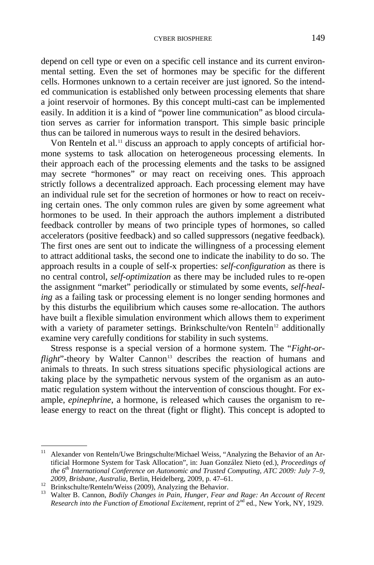depend on cell type or even on a specific cell instance and its current environmental setting. Even the set of hormones may be specific for the different cells. Hormones unknown to a certain receiver are just ignored. So the intended communication is established only between processing elements that share a joint reservoir of hormones. By this concept multi-cast can be implemented easily. In addition it is a kind of "power line communication" as blood circulation serves as carrier for information transport. This simple basic principle thus can be tailored in numerous ways to result in the desired behaviors.

Von Renteln et al.<sup>11</sup> discuss an approach to apply concepts of artificial hormone systems to task allocation on heterogeneous processing elements. In their approach each of the processing elements and the tasks to be assigned may secrete "hormones" or may react on receiving ones. This approach strictly follows a decentralized approach. Each processing element may have an individual rule set for the secretion of hormones or how to react on receiving certain ones. The only common rules are given by some agreement what hormones to be used. In their approach the authors implement a distributed feedback controller by means of two principle types of hormones, so called accelerators (positive feedback) and so called suppressors (negative feedback). The first ones are sent out to indicate the willingness of a processing element to attract additional tasks, the second one to indicate the inability to do so. The approach results in a couple of self-x properties: *self-configuration* as there is no central control, *self-optimization* as there may be included rules to re-open the assignment "market" periodically or stimulated by some events, *self-healing* as a failing task or processing element is no longer sending hormones and by this disturbs the equilibrium which causes some re-allocation. The authors have built a flexible simulation environment which allows them to experiment with a variety of parameter settings. Brinkschulte/von Renteln<sup>12</sup> additionally examine very carefully conditions for stability in such systems.

Stress response is a special version of a hormone system. The "*Fight-orflight*"-theory by Walter Cannon 13 describes the reaction of humans and animals to threats. In such stress situations specific physiological actions are taking place by the sympathetic nervous system of the organism as an automatic regulation system without the intervention of conscious thought. For example, *epinephrine*, a hormone, is released which causes the organism to release energy to react on the threat (fight or flight). This concept is adopted to

-

<sup>11</sup> Alexander von Renteln/Uwe Bringschulte/Michael Weiss, "Analyzing the Behavior of an Artificial Hormone System for Task Allocation", in: Juan González Nieto (ed.), *Proceedings of the 6th International Conference on Autonomic and Trusted Computing, ATC 2009: July 7–9,* 

<sup>2009,</sup> Brisbane, Australia, Berlin, Heidelberg, 2009, p. 47–61.<br><sup>12</sup> Brinkschulte/Renteln/Weiss (2009), Analyzing the Behavior.<br><sup>13</sup> Walter B. Cannon, *Bodily Changes in Pain, Hunger, Fear and Rage: An Account of Recent Research into the Function of Emotional Excitement*, reprint of 2nd ed., New York, NY, 1929.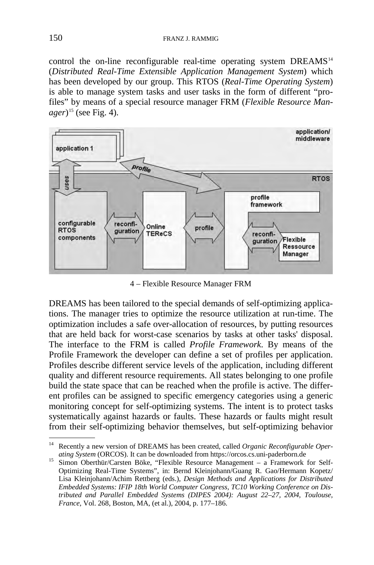control the on-line reconfigurable real-time operating system  $DREAMS^{14}$ (*Distributed Real-Time Extensible Application Management System*) which has been developed by our group. This RTOS (*Real-Time Operating System*) is able to manage system tasks and user tasks in the form of different "profiles" by means of a special resource manager FRM (*Flexible Resource Manager*)<sup>15</sup> (see Fig. 4).



4 – Flexible Resource Manager FRM

DREAMS has been tailored to the special demands of self-optimizing applications. The manager tries to optimize the resource utilization at run-time. The optimization includes a safe over-allocation of resources, by putting resources that are held back for worst-case scenarios by tasks at other tasks' disposal. The interface to the FRM is called *Profile Framework*. By means of the Profile Framework the developer can define a set of profiles per application. Profiles describe different service levels of the application, including different quality and different resource requirements. All states belonging to one profile build the state space that can be reached when the profile is active. The different profiles can be assigned to specific emergency categories using a generic monitoring concept for self-optimizing systems. The intent is to protect tasks systematically against hazards or faults. These hazards or faults might result from their self-optimizing behavior themselves, but self-optimizing behavior

 $\ddot{ }$ 

Recently a new version of DREAMS has been created, called *Organic Reconfigurable Operating System* (ORCOS). It can be downloaded from https://orcos.cs.uni-paderborn.de

Simon Oberthür/Carsten Böke, "Flexible Resource Management – a Framework for Self-Optimizing Real-Time Systems", in: Bernd Kleinjohann/Guang R. Gao/Hermann Kopetz/ Lisa Kleinjohann/Achim Rettberg (eds.), *Design Methods and Applications for Distributed Embedded Systems: IFIP 18th World Computer Congress, TC10 Working Conference on Distributed and Parallel Embedded Systems (DIPES 2004): August 22–27, 2004, Toulouse, France*, Vol. 268, Boston, MA, (et al.), 2004, p. 177–186.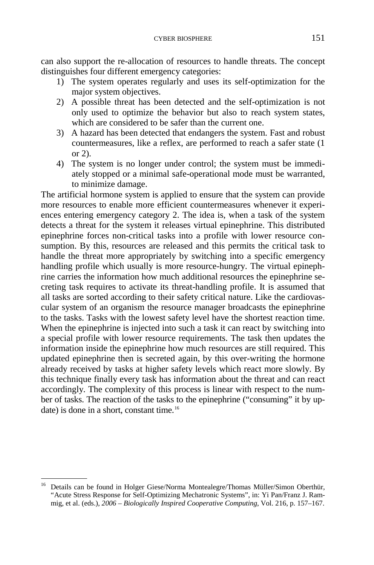can also support the re-allocation of resources to handle threats. The concept distinguishes four different emergency categories:

- 1) The system operates regularly and uses its self-optimization for the major system objectives.
- 2) A possible threat has been detected and the self-optimization is not only used to optimize the behavior but also to reach system states, which are considered to be safer than the current one.
- 3) A hazard has been detected that endangers the system. Fast and robust countermeasures, like a reflex, are performed to reach a safer state (1 or 2).
- 4) The system is no longer under control; the system must be immediately stopped or a minimal safe-operational mode must be warranted, to minimize damage.

The artificial hormone system is applied to ensure that the system can provide more resources to enable more efficient countermeasures whenever it experiences entering emergency category 2. The idea is, when a task of the system detects a threat for the system it releases virtual epinephrine. This distributed epinephrine forces non-critical tasks into a profile with lower resource consumption. By this, resources are released and this permits the critical task to handle the threat more appropriately by switching into a specific emergency handling profile which usually is more resource-hungry. The virtual epinephrine carries the information how much additional resources the epinephrine secreting task requires to activate its threat-handling profile. It is assumed that all tasks are sorted according to their safety critical nature. Like the cardiovascular system of an organism the resource manager broadcasts the epinephrine to the tasks. Tasks with the lowest safety level have the shortest reaction time. When the epinephrine is injected into such a task it can react by switching into a special profile with lower resource requirements. The task then updates the information inside the epinephrine how much resources are still required. This updated epinephrine then is secreted again, by this over-writing the hormone already received by tasks at higher safety levels which react more slowly. By this technique finally every task has information about the threat and can react accordingly. The complexity of this process is linear with respect to the number of tasks. The reaction of the tasks to the epinephrine ("consuming" it by update) is done in a short, constant time.<sup>16</sup>

<sup>-</sup><sup>16</sup> Details can be found in Holger Giese/Norma Montealegre/Thomas Müller/Simon Oberthür, "Acute Stress Response for Self-Optimizing Mechatronic Systems", in: Yi Pan/Franz J. Rammig, et al. (eds.), *2006 – Biologically Inspired Cooperative Computing*, Vol. 216, p. 157–167.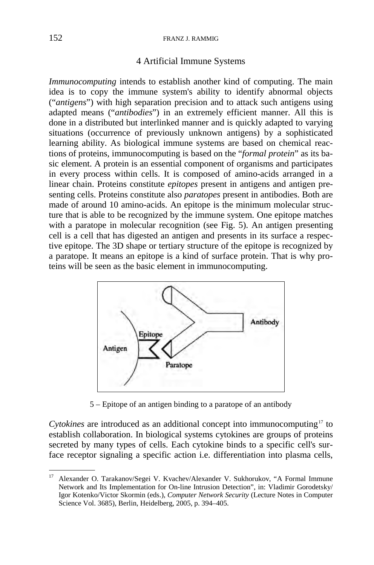#### 152 FRANZ J. RAMMIG

#### 4 Artificial Immune Systems

*Immunocomputing* intends to establish another kind of computing. The main idea is to copy the immune system's ability to identify abnormal objects ("*antigens*") with high separation precision and to attack such antigens using adapted means ("*antibodies*") in an extremely efficient manner. All this is done in a distributed but interlinked manner and is quickly adapted to varying situations (occurrence of previously unknown antigens) by a sophisticated learning ability. As biological immune systems are based on chemical reactions of proteins, immunocomputing is based on the "*formal protein*" as its basic element. A protein is an essential component of organisms and participates in every process within cells. It is composed of amino-acids arranged in a linear chain. Proteins constitute *epitopes* present in antigens and antigen presenting cells. Proteins constitute also *paratopes* present in antibodies. Both are made of around 10 amino-acids. An epitope is the minimum molecular structure that is able to be recognized by the immune system. One epitope matches with a paratope in molecular recognition (see Fig. 5). An antigen presenting cell is a cell that has digested an antigen and presents in its surface a respective epitope. The 3D shape or tertiary structure of the epitope is recognized by a paratope. It means an epitope is a kind of surface protein. That is why proteins will be seen as the basic element in immunocomputing.



5 – Epitope of an antigen binding to a paratope of an antibody

*Cytokines* are introduced as an additional concept into immunocomputing<sup>17</sup> to establish collaboration. In biological systems cytokines are groups of proteins secreted by many types of cells. Each cytokine binds to a specific cell's surface receptor signaling a specific action i.e. differentiation into plasma cells,

 $17\,$ 17 Alexander O. Tarakanov/Segei V. Kvachev/Alexander V. Sukhorukov, "A Formal Immune Network and Its Implementation for On-line Intrusion Detection", in: Vladimir Gorodetsky/ Igor Kotenko/Victor Skormin (eds.), *Computer Network Security* (Lecture Notes in Computer Science Vol. 3685), Berlin, Heidelberg, 2005, p. 394–405.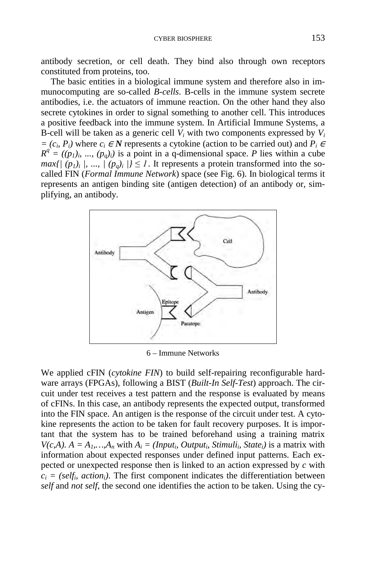antibody secretion, or cell death. They bind also through own receptors constituted from proteins, too.

The basic entities in a biological immune system and therefore also in immunocomputing are so-called *B-cells*. B-cells in the immune system secrete antibodies, i.e. the actuators of immune reaction. On the other hand they also secrete cytokines in order to signal something to another cell. This introduces a positive feedback into the immune system. In Artificial Immune Systems, a B-cell will be taken as a generic cell  $V_i$  with two components expressed by  $V_i$  $= (c_i, P_i)$  where  $c_i \in \mathbb{N}$  represents a cytokine (action to be carried out) and  $P_i \in \mathbb{N}$  $R^q = ((p_1)_b, ..., (p_q)_i)$  is a point in a q-dimensional space. *P* lies within a cube *max{| (p<sub>1</sub>)<sub>i</sub> |, ...,*  $\left| \right\rangle (p_q)_i$  *|}*  $\leq 1$ *. It represents a protein transformed into the so*called FIN (*Formal Immune Network*) space (see Fig. 6). In biological terms it represents an antigen binding site (antigen detection) of an antibody or, simplifying, an antibody.



6 – Immune Networks

We applied cFIN (*cytokine FIN*) to build self-repairing reconfigurable hardware arrays (FPGAs), following a BIST (*Built-In Self-Test*) approach. The circuit under test receives a test pattern and the response is evaluated by means of cFINs. In this case, an antibody represents the expected output, transformed into the FIN space. An antigen is the response of the circuit under test. A cytokine represents the action to be taken for fault recovery purposes. It is important that the system has to be trained beforehand using a training matrix  $V(c, A)$ .  $A = A_1, \ldots, A_n$  with  $A_i = (Input_i, Output_i, Stimuli_i, State_i)$  is a matrix with information about expected responses under defined input patterns. Each expected or unexpected response then is linked to an action expressed by *c* with  $c_i = (self_i, action_i)$ . The first component indicates the differentiation between *self* and *not self*, the second one identifies the action to be taken. Using the cy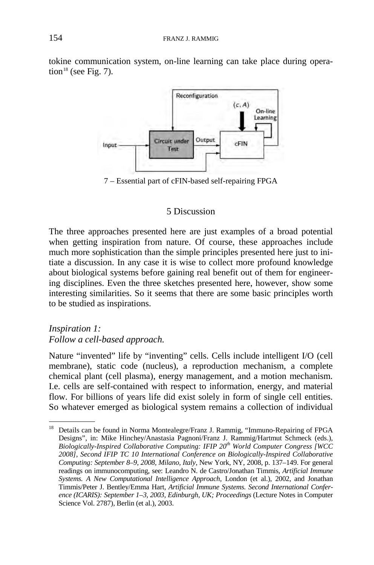tokine communication system, on-line learning can take place during operation<sup>18</sup> (see Fig. 7).



7 – Essential part of cFIN-based self-repairing FPGA

#### 5 Discussion

The three approaches presented here are just examples of a broad potential when getting inspiration from nature. Of course, these approaches include much more sophistication than the simple principles presented here just to initiate a discussion. In any case it is wise to collect more profound knowledge about biological systems before gaining real benefit out of them for engineering disciplines. Even the three sketches presented here, however, show some interesting similarities. So it seems that there are some basic principles worth to be studied as inspirations.

### *Inspiration 1: Follow a cell-based approach.*

Nature "invented" life by "inventing" cells. Cells include intelligent I/O (cell membrane), static code (nucleus), a reproduction mechanism, a complete chemical plant (cell plasma), energy management, and a motion mechanism. I.e. cells are self-contained with respect to information, energy, and material flow. For billions of years life did exist solely in form of single cell entities. So whatever emerged as biological system remains a collection of individual

 $18\,$ 18 Details can be found in Norma Montealegre/Franz J. Rammig, "Immuno-Repairing of FPGA Designs", in: Mike Hinchey/Anastasia Pagnoni/Franz J. Rammig/Hartmut Schmeck (eds.), *Biologically-Inspired Collaborative Computing: IFIP 20th World Computer Congress [WCC 2008], Second IFIP TC 10 International Conference on Biologically-Inspired Collaborative Computing: September 8–9, 2008, Milano, Italy*, New York, NY, 2008, p. 137–149. For general readings on immunocomputing, see: Leandro N. de Castro/Jonathan Timmis, *Artificial Immune Systems. A New Computational Intelligence Approach*, London (et al.), 2002, and Jonathan Timmis/Peter J. Bentley/Emma Hart, *Artificial Immune Systems. Second International Conference (ICARIS): September 1–3, 2003, Edinburgh, UK; Proceedings* (Lecture Notes in Computer Science Vol. 2787), Berlin (et al.), 2003.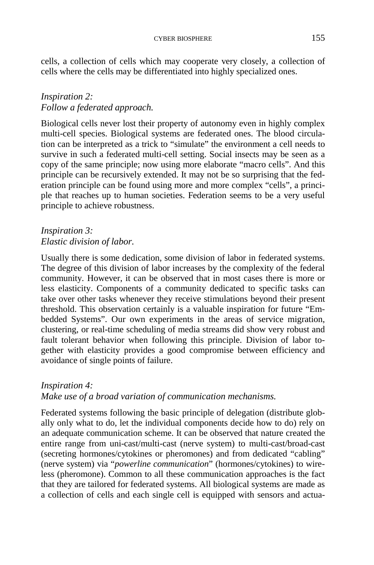cells, a collection of cells which may cooperate very closely, a collection of cells where the cells may be differentiated into highly specialized ones.

### *Inspiration 2: Follow a federated approach.*

Biological cells never lost their property of autonomy even in highly complex multi-cell species. Biological systems are federated ones. The blood circulation can be interpreted as a trick to "simulate" the environment a cell needs to survive in such a federated multi-cell setting. Social insects may be seen as a copy of the same principle; now using more elaborate "macro cells". And this principle can be recursively extended. It may not be so surprising that the federation principle can be found using more and more complex "cells", a principle that reaches up to human societies. Federation seems to be a very useful principle to achieve robustness.

## *Inspiration 3: Elastic division of labor.*

Usually there is some dedication, some division of labor in federated systems. The degree of this division of labor increases by the complexity of the federal community. However, it can be observed that in most cases there is more or less elasticity. Components of a community dedicated to specific tasks can take over other tasks whenever they receive stimulations beyond their present threshold. This observation certainly is a valuable inspiration for future "Embedded Systems". Our own experiments in the areas of service migration, clustering, or real-time scheduling of media streams did show very robust and fault tolerant behavior when following this principle. Division of labor together with elasticity provides a good compromise between efficiency and avoidance of single points of failure.

## *Inspiration 4: Make use of a broad variation of communication mechanisms.*

Federated systems following the basic principle of delegation (distribute globally only what to do, let the individual components decide how to do) rely on an adequate communication scheme. It can be observed that nature created the entire range from uni-cast/multi-cast (nerve system) to multi-cast/broad-cast (secreting hormones/cytokines or pheromones) and from dedicated "cabling" (nerve system) via "*powerline communication*" (hormones/cytokines) to wireless (pheromone). Common to all these communication approaches is the fact that they are tailored for federated systems. All biological systems are made as a collection of cells and each single cell is equipped with sensors and actua-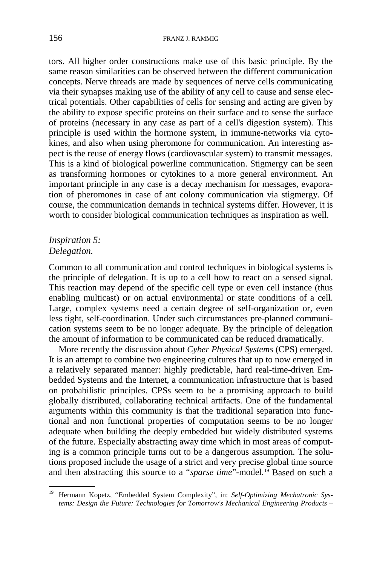tors. All higher order constructions make use of this basic principle. By the same reason similarities can be observed between the different communication concepts. Nerve threads are made by sequences of nerve cells communicating via their synapses making use of the ability of any cell to cause and sense electrical potentials. Other capabilities of cells for sensing and acting are given by the ability to expose specific proteins on their surface and to sense the surface of proteins (necessary in any case as part of a cell's digestion system). This principle is used within the hormone system, in immune-networks via cytokines, and also when using pheromone for communication. An interesting aspect is the reuse of energy flows (cardiovascular system) to transmit messages. This is a kind of biological powerline communication. Stigmergy can be seen as transforming hormones or cytokines to a more general environment. An important principle in any case is a decay mechanism for messages, evaporation of pheromones in case of ant colony communication via stigmergy. Of course, the communication demands in technical systems differ. However, it is worth to consider biological communication techniques as inspiration as well.

### *Inspiration 5: Delegation.*

Common to all communication and control techniques in biological systems is the principle of delegation. It is up to a cell how to react on a sensed signal. This reaction may depend of the specific cell type or even cell instance (thus enabling multicast) or on actual environmental or state conditions of a cell. Large, complex systems need a certain degree of self-organization or, even less tight, self-coordination. Under such circumstances pre-planned communication systems seem to be no longer adequate. By the principle of delegation the amount of information to be communicated can be reduced dramatically.

More recently the discussion about *Cyber Physical Systems* (CPS) emerged. It is an attempt to combine two engineering cultures that up to now emerged in a relatively separated manner: highly predictable, hard real-time-driven Embedded Systems and the Internet, a communication infrastructure that is based on probabilistic principles. CPSs seem to be a promising approach to build globally distributed, collaborating technical artifacts. One of the fundamental arguments within this community is that the traditional separation into functional and non functional properties of computation seems to be no longer adequate when building the deeply embedded but widely distributed systems of the future. Especially abstracting away time which in most areas of computing is a common principle turns out to be a dangerous assumption. The solutions proposed include the usage of a strict and very precise global time source and then abstracting this source to a "*sparse time*"-model.<sup>19</sup> Based on such a

<sup>19</sup> Hermann Kopetz, "Embedded System Complexity", in: Self-Optimizing Mechatronic Sys*tems: Design the Future: Technologies for Tomorrow's Mechanical Engineering Products –*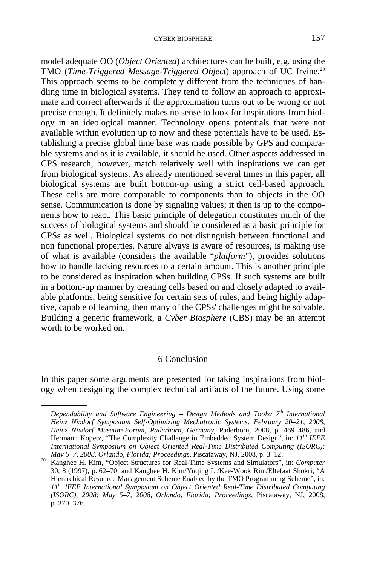#### CYBER BIOSPHERE 157

model adequate OO (*Object Oriented*) architectures can be built, e.g. using the TMO (*Time-Triggered Message-Triggered Object*) approach of UC Irvine.20 This approach seems to be completely different from the techniques of handling time in biological systems. They tend to follow an approach to approximate and correct afterwards if the approximation turns out to be wrong or not precise enough. It definitely makes no sense to look for inspirations from biology in an ideological manner. Technology opens potentials that were not available within evolution up to now and these potentials have to be used. Establishing a precise global time base was made possible by GPS and comparable systems and as it is available, it should be used. Other aspects addressed in CPS research, however, match relatively well with inspirations we can get from biological systems. As already mentioned several times in this paper, all biological systems are built bottom-up using a strict cell-based approach. These cells are more comparable to components than to objects in the OO sense. Communication is done by signaling values; it then is up to the components how to react. This basic principle of delegation constitutes much of the success of biological systems and should be considered as a basic principle for CPSs as well. Biological systems do not distinguish between functional and non functional properties. Nature always is aware of resources, is making use of what is available (considers the available "*platform*"), provides solutions how to handle lacking resources to a certain amount. This is another principle to be considered as inspiration when building CPSs. If such systems are built in a bottom-up manner by creating cells based on and closely adapted to available platforms, being sensitive for certain sets of rules, and being highly adaptive, capable of learning, then many of the CPSs' challenges might be solvable. Building a generic framework, a *Cyber Biosphere* (CBS) may be an attempt worth to be worked on.

### 6 Conclusion

In this paper some arguments are presented for taking inspirations from biology when designing the complex technical artifacts of the future. Using some

-

*Dependability and Software Engineering – Design Methods and Tools; 7th International Heinz Nixdorf Symposium Self-Optimizing Mechatronic Systems: February 20–21, 2008, Heinz Nixdorf MuseumsForum, Paderborn, Germany*, Paderborn, 2008, p. 469–486, and Hermann Kopetz, "The Complexity Challenge in Embedded System Design", in:  $11<sup>th</sup> IEEE$ *International Symposium on Object Oriented Real-Time Distributed Computing (ISORC): May 5–7, 2008, Orlando, Florida; Proceedings, Piscataway, NJ, 2008, p. 3–12.* 

<sup>&</sup>lt;sup>20</sup> Kanghee H. Kim, "Object Structures for Real-Time Systems and Simulators", in: *Computer* 30, 8 (1997), p. 62–70, and Kanghee H. Kim/Yuqing Li/Kee-Wook Rim/Eltefaat Shokri, "A Hierarchical Resource Management Scheme Enabled by the TMO Programming Scheme", in: *11th IEEE International Symposium on Object Oriented Real-Time Distributed Computing (ISORC), 2008: May 5–7, 2008, Orlando, Florida; Proceedings*, Piscataway, NJ, 2008, p. 370–376.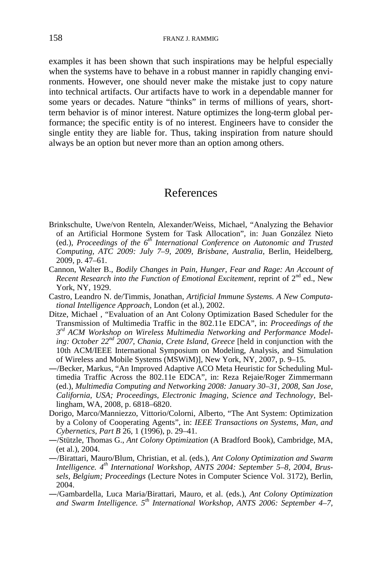examples it has been shown that such inspirations may be helpful especially when the systems have to behave in a robust manner in rapidly changing environments. However, one should never make the mistake just to copy nature into technical artifacts. Our artifacts have to work in a dependable manner for some years or decades. Nature "thinks" in terms of millions of years, shortterm behavior is of minor interest. Nature optimizes the long-term global performance; the specific entity is of no interest. Engineers have to consider the single entity they are liable for. Thus, taking inspiration from nature should always be an option but never more than an option among others.

# References

- Brinkschulte, Uwe/von Renteln, Alexander/Weiss, Michael, "Analyzing the Behavior of an Artificial Hormone System for Task Allocation", in: Juan González Nieto (ed.), *Proceedings of the 6th International Conference on Autonomic and Trusted Computing, ATC 2009: July 7–9, 2009, Brisbane, Australia*, Berlin, Heidelberg, 2009, p. 47–61.
- Cannon, Walter B., *Bodily Changes in Pain, Hunger, Fear and Rage: An Account of Recent Research into the Function of Emotional Excitement, reprint of*  $2<sup>nd</sup>$  ed., New York, NY, 1929.
- Castro, Leandro N. de/Timmis, Jonathan, *Artificial Immune Systems. A New Computational Intelligence Approach*, London (et al.), 2002.
- Ditze, Michael , "Evaluation of an Ant Colony Optimization Based Scheduler for the Transmission of Multimedia Traffic in the 802.11e EDCA", in: *Proceedings of the 3rd ACM Workshop on Wireless Multimedia Networking and Performance Modeling: October 22nd 2007, Chania, Crete Island, Greece* [held in conjunction with the 10th ACM/IEEE International Symposium on Modeling, Analysis, and Simulation of Wireless and Mobile Systems (MSWiM)], New York, NY, 2007, p. 9–15.
- ―/Becker, Markus, "An Improved Adaptive ACO Meta Heuristic for Scheduling Multimedia Traffic Across the 802.11e EDCA", in: Reza Rejaie/Roger Zimmermann (ed.), *Multimedia Computing and Networking 2008: January 30–31, 2008, San Jose, California, USA; Proceedings, Electronic Imaging, Science and Technology*, Bellingham, WA, 2008, p. 6818–6820.
- Dorigo, Marco/Manniezzo, Vittorio/Colorni, Alberto, "The Ant System: Optimization by a Colony of Cooperating Agents", in: *IEEE Transactions on Systems, Man, and Cybernetics, Part B* 26, 1 (1996), p. 29–41.
- ―/Stützle, Thomas G., *Ant Colony Optimization* (A Bradford Book), Cambridge, MA, (et al.), 2004.
- ―/Birattari, Mauro/Blum, Christian, et al. (eds.), *Ant Colony Optimization and Swarm Intelligence. 4th International Workshop, ANTS 2004: September 5–8, 2004, Brussels, Belgium; Proceedings* (Lecture Notes in Computer Science Vol. 3172), Berlin, 2004.
- ―/Gambardella, Luca Maria/Birattari, Mauro, et al. (eds.), *Ant Colony Optimization and Swarm Intelligence. 5th International Workshop, ANTS 2006: September 4–7,*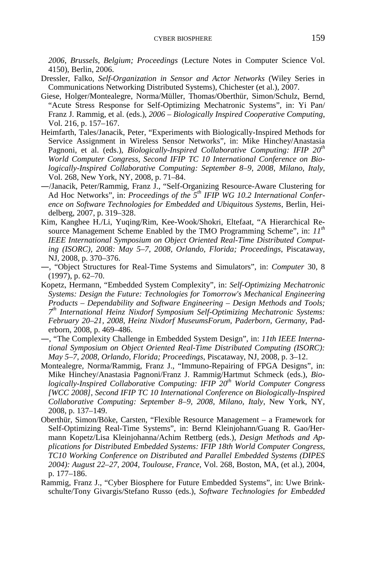*2006, Brussels, Belgium; Proceedings* (Lecture Notes in Computer Science Vol. 4150), Berlin, 2006.

- Dressler, Falko, *Self-Organization in Sensor and Actor Networks* (Wiley Series in Communications Networking Distributed Systems), Chichester (et al.), 2007.
- Giese, Holger/Montealegre, Norma/Müller, Thomas/Oberthür, Simon/Schulz, Bernd, "Acute Stress Response for Self-Optimizing Mechatronic Systems", in: Yi Pan/ Franz J. Rammig, et al. (eds.), *2006 – Biologically Inspired Cooperative Computing*, Vol. 216, p. 157–167.
- Heimfarth, Tales/Janacik, Peter, "Experiments with Biologically-Inspired Methods for Service Assignment in Wireless Sensor Networks", in: Mike Hinchey/Anastasia Pagnoni, et al. (eds.), *Biologically-Inspired Collaborative Computing: IFIP 20th World Computer Congress, Second IFIP TC 10 International Conference on Biologically-Inspired Collaborative Computing: September 8–9, 2008, Milano, Italy*, Vol. 268, New York, NY, 2008, p. 71–84.
- ―/Janacik, Peter/Rammig, Franz J., "Self-Organizing Resource-Aware Clustering for Ad Hoc Networks", in: *Proceedings of the 5th IFIP WG 10.2 International Conference on Software Technologies for Embedded and Ubiquitous Systems*, Berlin, Heidelberg, 2007, p. 319–328.
- Kim, Kanghee H./Li, Yuqing/Rim, Kee-Wook/Shokri, Eltefaat, "A Hierarchical Resource Management Scheme Enabled by the TMO Programming Scheme", in: *11th IEEE International Symposium on Object Oriented Real-Time Distributed Computing (ISORC), 2008: May 5–7, 2008, Orlando, Florida; Proceedings*, Piscataway, NJ, 2008, p. 370–376.
- ―, "Object Structures for Real-Time Systems and Simulators", in: *Computer* 30, 8 (1997), p. 62–70.
- Kopetz, Hermann, "Embedded System Complexity", in: *Self-Optimizing Mechatronic Systems: Design the Future: Technologies for Tomorrow's Mechanical Engineering Products – Dependability and Software Engineering – Design Methods and Tools; 7th International Heinz Nixdorf Symposium Self-Optimizing Mechatronic Systems: February 20–21, 2008, Heinz Nixdorf MuseumsForum, Paderborn, Germany*, Paderborn, 2008, p. 469–486.
- ―, "The Complexity Challenge in Embedded System Design", in: *11th IEEE International Symposium on Object Oriented Real-Time Distributed Computing (ISORC): May 5–7, 2008, Orlando, Florida; Proceedings*, Piscataway, NJ, 2008, p. 3–12.
- Montealegre, Norma/Rammig, Franz J., "Immuno-Repairing of FPGA Designs", in: Mike Hinchey/Anastasia Pagnoni/Franz J. Rammig/Hartmut Schmeck (eds.), *Biologically-Inspired Collaborative Computing: IFIP 20th World Computer Congress [WCC 2008], Second IFIP TC 10 International Conference on Biologically-Inspired Collaborative Computing: September 8–9, 2008, Milano, Italy*, New York, NY, 2008, p. 137–149.
- Oberthür, Simon/Böke, Carsten, "Flexible Resource Management a Framework for Self-Optimizing Real-Time Systems", in: Bernd Kleinjohann/Guang R. Gao/Hermann Kopetz/Lisa Kleinjohanna/Achim Rettberg (eds.), *Design Methods and Applications for Distributed Embedded Systems: IFIP 18th World Computer Congress, TC10 Working Conference on Distributed and Parallel Embedded Systems (DIPES 2004): August 22–27, 2004, Toulouse, France*, Vol. 268, Boston, MA, (et al.), 2004, p. 177–186.
- Rammig, Franz J., "Cyber Biosphere for Future Embedded Systems", in: Uwe Brinkschulte/Tony Givargis/Stefano Russo (eds.), *Software Technologies for Embedded*